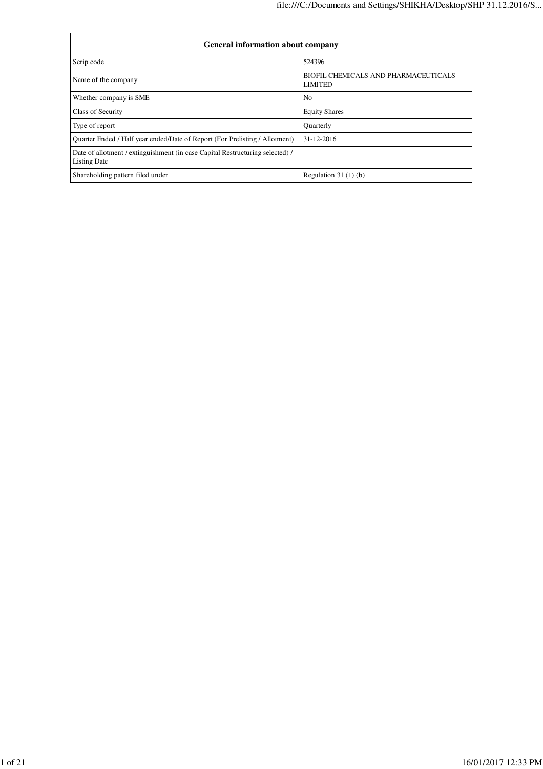| <b>General information about company</b>                                                             |                                                        |  |  |  |  |  |
|------------------------------------------------------------------------------------------------------|--------------------------------------------------------|--|--|--|--|--|
| Scrip code                                                                                           | 524396                                                 |  |  |  |  |  |
| Name of the company                                                                                  | BIOFIL CHEMICALS AND PHARMACEUTICALS<br><b>LIMITED</b> |  |  |  |  |  |
| Whether company is SME                                                                               | No.                                                    |  |  |  |  |  |
| Class of Security                                                                                    | <b>Equity Shares</b>                                   |  |  |  |  |  |
| Type of report                                                                                       | Quarterly                                              |  |  |  |  |  |
| Ouarter Ended / Half year ended/Date of Report (For Prelisting / Allotment)                          | 31-12-2016                                             |  |  |  |  |  |
| Date of allotment / extinguishment (in case Capital Restructuring selected) /<br><b>Listing Date</b> |                                                        |  |  |  |  |  |
| Shareholding pattern filed under                                                                     | Regulation $31(1)(b)$                                  |  |  |  |  |  |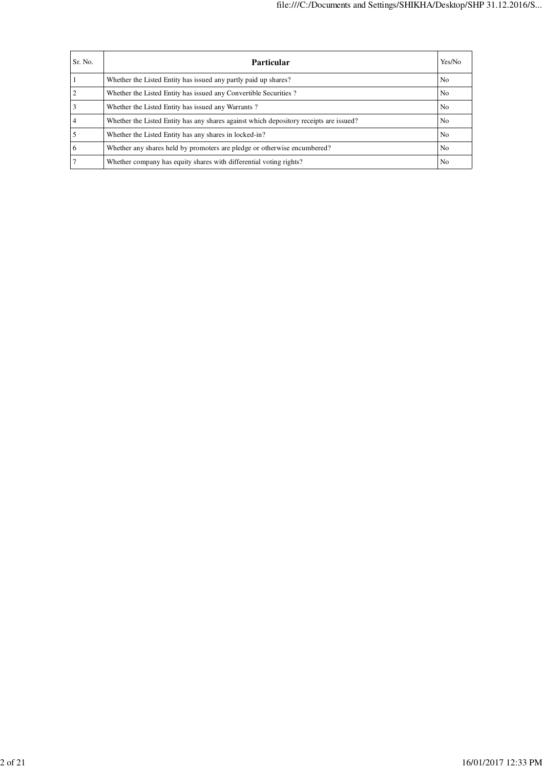| Sr. No.        | <b>Particular</b>                                                                      | Yes/No         |
|----------------|----------------------------------------------------------------------------------------|----------------|
|                | Whether the Listed Entity has issued any partly paid up shares?                        | N <sub>o</sub> |
| $\overline{2}$ | Whether the Listed Entity has issued any Convertible Securities?                       | N <sub>o</sub> |
| 3              | Whether the Listed Entity has issued any Warrants?                                     | N <sub>0</sub> |
|                | Whether the Listed Entity has any shares against which depository receipts are issued? | N <sub>o</sub> |
|                | Whether the Listed Entity has any shares in locked-in?                                 | N <sub>0</sub> |
| 6              | Whether any shares held by promoters are pledge or otherwise encumbered?               | N <sub>0</sub> |
|                | Whether company has equity shares with differential voting rights?                     | N <sub>0</sub> |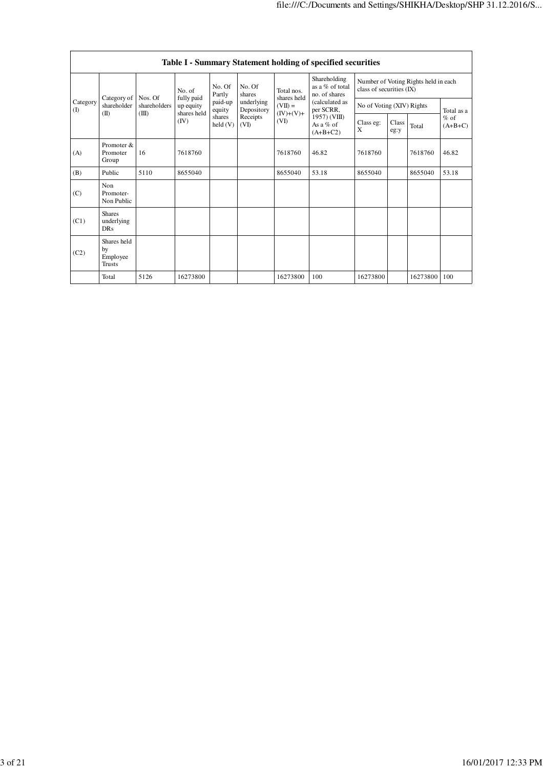|                          | Table I - Summary Statement holding of specified securities |                                  |                          |                      |                          |                                                               |                                                  |                           |                                                                  |          |                     |  |
|--------------------------|-------------------------------------------------------------|----------------------------------|--------------------------|----------------------|--------------------------|---------------------------------------------------------------|--------------------------------------------------|---------------------------|------------------------------------------------------------------|----------|---------------------|--|
|                          |                                                             |                                  | No. of<br>fully paid     | No. Of<br>Partly     | No. Of<br>shares         | Total nos.<br>shares held<br>$(VII) =$<br>$(IV)+(V)+$<br>(VI) | Shareholding<br>as a % of total<br>no. of shares |                           | Number of Voting Rights held in each<br>class of securities (IX) |          |                     |  |
| Category<br>$($ $\Gamma$ | Category of<br>shareholder<br>(II)                          | Nos. Of<br>shareholders<br>(III) | up equity<br>shares held | paid-up<br>equity    | underlying<br>Depository |                                                               | (calculated as<br>per SCRR,                      | No of Voting (XIV) Rights |                                                                  |          | Total as a          |  |
|                          |                                                             |                                  | (IV)                     | shares<br>held $(V)$ | Receipts<br>(VI)         |                                                               | $1957)$ (VIII)<br>As a $%$ of<br>$(A+B+C2)$      | Class eg:<br>X            | Class<br>eg:y                                                    | Total    | $%$ of<br>$(A+B+C)$ |  |
| (A)                      | Promoter &<br>Promoter<br>Group                             | 16                               | 7618760                  |                      |                          | 7618760                                                       | 46.82                                            | 7618760                   |                                                                  | 7618760  | 46.82               |  |
| (B)                      | Public                                                      | 5110                             | 8655040                  |                      |                          | 8655040                                                       | 53.18                                            | 8655040                   |                                                                  | 8655040  | 53.18               |  |
| (C)                      | Non<br>Promoter-<br>Non Public                              |                                  |                          |                      |                          |                                                               |                                                  |                           |                                                                  |          |                     |  |
| (C1)                     | <b>Shares</b><br>underlying<br><b>DRs</b>                   |                                  |                          |                      |                          |                                                               |                                                  |                           |                                                                  |          |                     |  |
| (C2)                     | Shares held<br>by<br>Employee<br>Trusts                     |                                  |                          |                      |                          |                                                               |                                                  |                           |                                                                  |          |                     |  |
|                          | Total                                                       | 5126                             | 16273800                 |                      |                          | 16273800                                                      | 100                                              | 16273800                  |                                                                  | 16273800 | 100                 |  |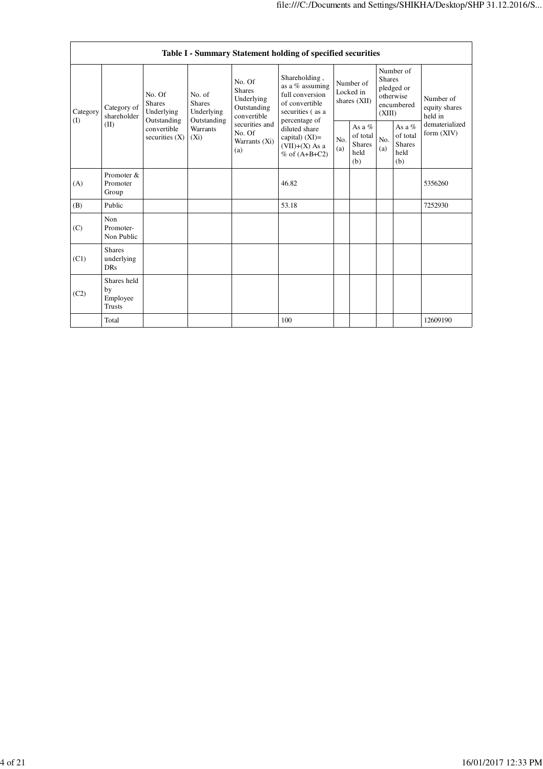|                 | Table I - Summary Statement holding of specified securities |                                                                                         |                                                                             |                                                                                                                         |                                                                                                                                                                                           |                                        |                                                      |                                                                               |                                                      |                                       |
|-----------------|-------------------------------------------------------------|-----------------------------------------------------------------------------------------|-----------------------------------------------------------------------------|-------------------------------------------------------------------------------------------------------------------------|-------------------------------------------------------------------------------------------------------------------------------------------------------------------------------------------|----------------------------------------|------------------------------------------------------|-------------------------------------------------------------------------------|------------------------------------------------------|---------------------------------------|
| Category<br>(I) | Category of<br>shareholder<br>(II)                          | No. Of<br><b>Shares</b><br>Underlying<br>Outstanding<br>convertible<br>securities $(X)$ | No. of<br><b>Shares</b><br>Underlying<br>Outstanding<br>Warrants<br>$(X_i)$ | No. Of<br><b>Shares</b><br>Underlying<br>Outstanding<br>convertible<br>securities and<br>No. Of<br>Warrants (Xi)<br>(a) | Shareholding,<br>as a % assuming<br>full conversion<br>of convertible<br>securities (as a<br>percentage of<br>diluted share<br>capital) $(XI)$ =<br>$(VII)+(X)$ As a<br>$%$ of $(A+B+C2)$ | Number of<br>Locked in<br>shares (XII) |                                                      | Number of<br><b>Shares</b><br>pledged or<br>otherwise<br>encumbered<br>(XIII) |                                                      | Number of<br>equity shares<br>held in |
|                 |                                                             |                                                                                         |                                                                             |                                                                                                                         |                                                                                                                                                                                           | No.<br>(a)                             | As a $%$<br>of total<br><b>Shares</b><br>held<br>(b) | No.<br>(a)                                                                    | As a $%$<br>of total<br><b>Shares</b><br>held<br>(b) | dematerialized<br>form (XIV)          |
| (A)             | Promoter &<br>Promoter<br>Group                             |                                                                                         |                                                                             |                                                                                                                         | 46.82                                                                                                                                                                                     |                                        |                                                      |                                                                               |                                                      | 5356260                               |
| (B)             | Public                                                      |                                                                                         |                                                                             |                                                                                                                         | 53.18                                                                                                                                                                                     |                                        |                                                      |                                                                               |                                                      | 7252930                               |
| (C)             | Non<br>Promoter-<br>Non Public                              |                                                                                         |                                                                             |                                                                                                                         |                                                                                                                                                                                           |                                        |                                                      |                                                                               |                                                      |                                       |
| (C1)            | <b>Shares</b><br>underlying<br><b>DRs</b>                   |                                                                                         |                                                                             |                                                                                                                         |                                                                                                                                                                                           |                                        |                                                      |                                                                               |                                                      |                                       |
| (C2)            | Shares held<br>by<br>Employee<br>Trusts                     |                                                                                         |                                                                             |                                                                                                                         |                                                                                                                                                                                           |                                        |                                                      |                                                                               |                                                      |                                       |
|                 | Total                                                       |                                                                                         |                                                                             |                                                                                                                         | 100                                                                                                                                                                                       |                                        |                                                      |                                                                               |                                                      | 12609190                              |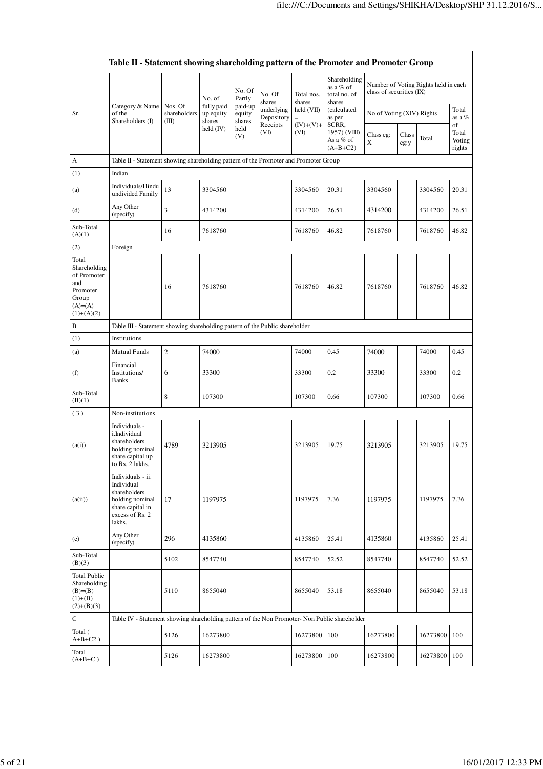| Table II - Statement showing shareholding pattern of the Promoter and Promoter Group           |                                                                                                                     |                                  |                                   |                             |                          |                      |                                                     |                           |               |                                      |                                 |
|------------------------------------------------------------------------------------------------|---------------------------------------------------------------------------------------------------------------------|----------------------------------|-----------------------------------|-----------------------------|--------------------------|----------------------|-----------------------------------------------------|---------------------------|---------------|--------------------------------------|---------------------------------|
|                                                                                                |                                                                                                                     |                                  | No. of                            | No. Of<br>Partly            | No. Of<br>shares         | Total nos.<br>shares | Shareholding<br>as a % of<br>total no. of<br>shares | class of securities (IX)  |               | Number of Voting Rights held in each |                                 |
| Sr.                                                                                            | Category & Name<br>of the<br>Shareholders (I)                                                                       | Nos. Of<br>shareholders<br>(III) | fully paid<br>up equity<br>shares | paid-up<br>equity<br>shares | underlying<br>Depository | held (VII)<br>$=$    | (calculated<br>as per                               | No of Voting (XIV) Rights |               |                                      | Total<br>as a %                 |
|                                                                                                |                                                                                                                     |                                  | held $(IV)$                       | held<br>(V)                 | Receipts<br>(VI)         | $(IV)+(V)+$<br>(VI)  | SCRR,<br>1957) (VIII)<br>As a % of<br>$(A+B+C2)$    | Class eg:<br>X            | Class<br>eg:y | Total                                | of<br>Total<br>Voting<br>rights |
| A                                                                                              | Table II - Statement showing shareholding pattern of the Promoter and Promoter Group                                |                                  |                                   |                             |                          |                      |                                                     |                           |               |                                      |                                 |
| (1)                                                                                            | Indian                                                                                                              |                                  |                                   |                             |                          |                      |                                                     |                           |               |                                      |                                 |
| (a)                                                                                            | Individuals/Hindu<br>undivided Family                                                                               | 13                               | 3304560                           |                             |                          | 3304560              | 20.31                                               | 3304560                   |               | 3304560                              | 20.31                           |
| (d)                                                                                            | Any Other<br>(specify)                                                                                              | 3                                | 4314200                           |                             |                          | 4314200              | 26.51                                               | 4314200                   |               | 4314200                              | 26.51                           |
| Sub-Total<br>(A)(1)                                                                            |                                                                                                                     | 16                               | 7618760                           |                             |                          | 7618760              | 46.82                                               | 7618760                   |               | 7618760                              | 46.82                           |
| (2)                                                                                            | Foreign                                                                                                             |                                  |                                   |                             |                          |                      |                                                     |                           |               |                                      |                                 |
| Total<br>Shareholding<br>of Promoter<br>and<br>Promoter<br>Group<br>$(A)= (A)$<br>$(1)+(A)(2)$ |                                                                                                                     | 16                               | 7618760                           |                             |                          | 7618760              | 46.82                                               | 7618760                   |               | 7618760                              | 46.82                           |
| B                                                                                              | Table III - Statement showing shareholding pattern of the Public shareholder                                        |                                  |                                   |                             |                          |                      |                                                     |                           |               |                                      |                                 |
| (1)                                                                                            | Institutions                                                                                                        |                                  |                                   |                             |                          |                      |                                                     |                           |               |                                      |                                 |
| (a)                                                                                            | <b>Mutual Funds</b>                                                                                                 | $\overline{c}$                   | 74000                             |                             |                          | 74000                | 0.45                                                | 74000                     |               | 74000                                | 0.45                            |
| (f)                                                                                            | Financial<br>Institutions/<br><b>Banks</b>                                                                          | 6                                | 33300                             |                             |                          | 33300                | 0.2                                                 | 33300                     |               | 33300                                | 0.2                             |
| Sub-Total<br>(B)(1)                                                                            |                                                                                                                     | 8                                | 107300                            |                             |                          | 107300               | 0.66                                                | 107300                    |               | 107300                               | 0.66                            |
| (3)                                                                                            | Non-institutions                                                                                                    |                                  |                                   |                             |                          |                      |                                                     |                           |               |                                      |                                 |
| (a(i))                                                                                         | Individuals -<br>i.Individual<br>shareholders<br>holding nominal<br>share capital up<br>to Rs. 2 lakhs.             | 4789                             | 3213905                           |                             |                          | 3213905              | 19.75                                               | 3213905                   |               | 3213905                              | 19.75                           |
| (a(ii))                                                                                        | Individuals - ii.<br>Individual<br>shareholders<br>holding nominal<br>share capital in<br>excess of Rs. 2<br>lakhs. | 17                               | 1197975                           |                             |                          | 1197975              | 7.36                                                | 1197975                   |               | 1197975                              | 7.36                            |
| (e)                                                                                            | Any Other<br>(specify)                                                                                              | 296                              | 4135860                           |                             |                          | 4135860              | 25.41                                               | 4135860                   |               | 4135860                              | 25.41                           |
| Sub-Total<br>(B)(3)                                                                            |                                                                                                                     | 5102                             | 8547740                           |                             |                          | 8547740              | 52.52                                               | 8547740                   |               | 8547740                              | 52.52                           |
| <b>Total Public</b><br>Shareholding<br>$(B)=B)$<br>$(1)+(B)$<br>$(2)+(B)(3)$                   |                                                                                                                     | 5110                             | 8655040                           |                             |                          | 8655040              | 53.18                                               | 8655040                   |               | 8655040                              | 53.18                           |
| ${\bf C}$                                                                                      | Table IV - Statement showing shareholding pattern of the Non Promoter- Non Public shareholder                       |                                  |                                   |                             |                          |                      |                                                     |                           |               |                                      |                                 |
| Total (<br>$A+B+C2$ )                                                                          |                                                                                                                     | 5126                             | 16273800                          |                             |                          | 16273800             | 100                                                 | 16273800                  |               | 16273800                             | 100                             |
| Total<br>$(A+B+C)$                                                                             |                                                                                                                     | 5126                             | 16273800                          |                             |                          | 16273800             | 100                                                 | 16273800                  |               | 16273800                             | 100                             |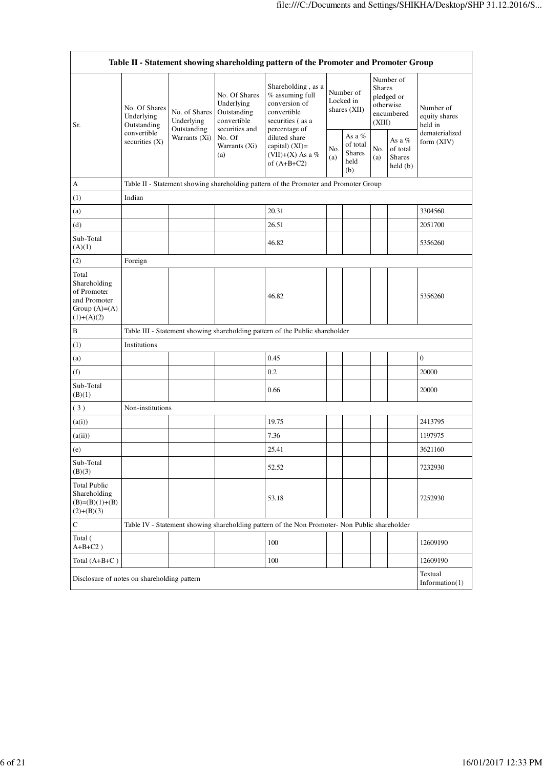|                                                                                        |                                                                               |                                                             |                                                                                                               | Table II - Statement showing shareholding pattern of the Promoter and Promoter Group                         |            |                                                    |                                                                               |                                                |                                       |
|----------------------------------------------------------------------------------------|-------------------------------------------------------------------------------|-------------------------------------------------------------|---------------------------------------------------------------------------------------------------------------|--------------------------------------------------------------------------------------------------------------|------------|----------------------------------------------------|-------------------------------------------------------------------------------|------------------------------------------------|---------------------------------------|
| Sr.                                                                                    | No. Of Shares<br>Underlying<br>Outstanding<br>convertible<br>securities $(X)$ | No. of Shares<br>Underlying<br>Outstanding<br>Warrants (Xi) | No. Of Shares<br>Underlying<br>Outstanding<br>convertible<br>securities and<br>No. Of<br>Warrants (Xi)<br>(a) | Shareholding, as a<br>$%$ assuming full<br>conversion of<br>convertible<br>securities (as a<br>percentage of |            | Number of<br>Locked in<br>shares (XII)             | Number of<br><b>Shares</b><br>pledged or<br>otherwise<br>encumbered<br>(XIII) |                                                | Number of<br>equity shares<br>held in |
|                                                                                        |                                                                               |                                                             |                                                                                                               | diluted share<br>capital) $(XI)$ =<br>(VII)+(X) As a %<br>of $(A+B+C2)$                                      | No.<br>(a) | As a %<br>of total<br><b>Shares</b><br>held<br>(b) | No.<br>(a)                                                                    | As a %<br>of total<br><b>Shares</b><br>held(b) | dematerialized<br>form (XIV)          |
| A                                                                                      |                                                                               |                                                             |                                                                                                               | Table II - Statement showing shareholding pattern of the Promoter and Promoter Group                         |            |                                                    |                                                                               |                                                |                                       |
| (1)                                                                                    | Indian                                                                        |                                                             |                                                                                                               |                                                                                                              |            |                                                    |                                                                               |                                                |                                       |
| (a)                                                                                    |                                                                               |                                                             |                                                                                                               | 20.31                                                                                                        |            |                                                    |                                                                               |                                                | 3304560                               |
| (d)                                                                                    |                                                                               |                                                             |                                                                                                               | 26.51                                                                                                        |            |                                                    |                                                                               |                                                | 2051700                               |
| Sub-Total<br>(A)(1)                                                                    |                                                                               |                                                             |                                                                                                               | 46.82                                                                                                        |            |                                                    |                                                                               |                                                | 5356260                               |
| (2)                                                                                    | Foreign                                                                       |                                                             |                                                                                                               |                                                                                                              |            |                                                    |                                                                               |                                                |                                       |
| Total<br>Shareholding<br>of Promoter<br>and Promoter<br>Group $(A)=A)$<br>$(1)+(A)(2)$ |                                                                               |                                                             |                                                                                                               | 46.82                                                                                                        |            |                                                    |                                                                               |                                                | 5356260                               |
| B                                                                                      |                                                                               |                                                             |                                                                                                               | Table III - Statement showing shareholding pattern of the Public shareholder                                 |            |                                                    |                                                                               |                                                |                                       |
| (1)                                                                                    | Institutions                                                                  |                                                             |                                                                                                               |                                                                                                              |            |                                                    |                                                                               |                                                |                                       |
| (a)                                                                                    |                                                                               |                                                             |                                                                                                               | 0.45                                                                                                         |            |                                                    |                                                                               |                                                | $\overline{0}$                        |
| (f)                                                                                    |                                                                               |                                                             |                                                                                                               | 0.2                                                                                                          |            |                                                    |                                                                               |                                                | 20000                                 |
| Sub-Total<br>(B)(1)                                                                    |                                                                               |                                                             |                                                                                                               | 0.66                                                                                                         |            |                                                    |                                                                               |                                                | 20000                                 |
| (3)                                                                                    | Non-institutions                                                              |                                                             |                                                                                                               |                                                                                                              |            |                                                    |                                                                               |                                                |                                       |
| (a(i))                                                                                 |                                                                               |                                                             |                                                                                                               | 19.75                                                                                                        |            |                                                    |                                                                               |                                                | 2413795                               |
| (a(ii))                                                                                |                                                                               |                                                             |                                                                                                               | 7.36                                                                                                         |            |                                                    |                                                                               |                                                | 1197975                               |
| (e)                                                                                    |                                                                               |                                                             |                                                                                                               | 25.41                                                                                                        |            |                                                    |                                                                               |                                                | 3621160                               |
| Sub-Total<br>(B)(3)                                                                    |                                                                               |                                                             |                                                                                                               | 52.52                                                                                                        |            |                                                    |                                                                               |                                                | 7232930                               |
| <b>Total Public</b><br>Shareholding<br>$(B)=(B)(1)+(B)$<br>$(2)+(B)(3)$                |                                                                               |                                                             |                                                                                                               | 53.18                                                                                                        |            |                                                    |                                                                               |                                                | 7252930                               |
| $\mathbf C$                                                                            |                                                                               |                                                             |                                                                                                               | Table IV - Statement showing shareholding pattern of the Non Promoter- Non Public shareholder                |            |                                                    |                                                                               |                                                |                                       |
| Total (<br>$A+B+C2$ )                                                                  |                                                                               |                                                             |                                                                                                               | 100                                                                                                          |            |                                                    |                                                                               |                                                | 12609190                              |
| Total $(A+B+C)$                                                                        |                                                                               |                                                             |                                                                                                               | 100                                                                                                          |            |                                                    |                                                                               |                                                | 12609190                              |
| Disclosure of notes on shareholding pattern                                            |                                                                               |                                                             |                                                                                                               |                                                                                                              |            |                                                    |                                                                               |                                                | Textual<br>Information $(1)$          |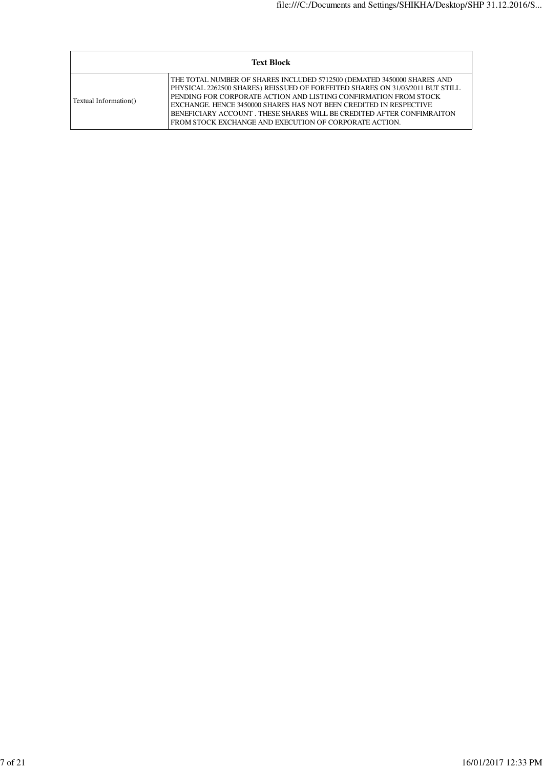|                       | <b>Text Block</b>                                                                                                                                                                                                                                                                                                                                                                                                                     |
|-----------------------|---------------------------------------------------------------------------------------------------------------------------------------------------------------------------------------------------------------------------------------------------------------------------------------------------------------------------------------------------------------------------------------------------------------------------------------|
| Textual Information() | THE TOTAL NUMBER OF SHARES INCLUDED 5712500 (DEMATED 3450000 SHARES AND<br>PHYSICAL 2262500 SHARES) REISSUED OF FORFEITED SHARES ON 31/03/2011 BUT STILL<br>PENDING FOR CORPORATE ACTION AND LISTING CONFIRMATION FROM STOCK<br>EXCHANGE. HENCE 3450000 SHARES HAS NOT BEEN CREDITED IN RESPECTIVE<br>BENEFICIARY ACCOUNT. THESE SHARES WILL BE CREDITED AFTER CONFIMRAITON<br>FROM STOCK EXCHANGE AND EXECUTION OF CORPORATE ACTION. |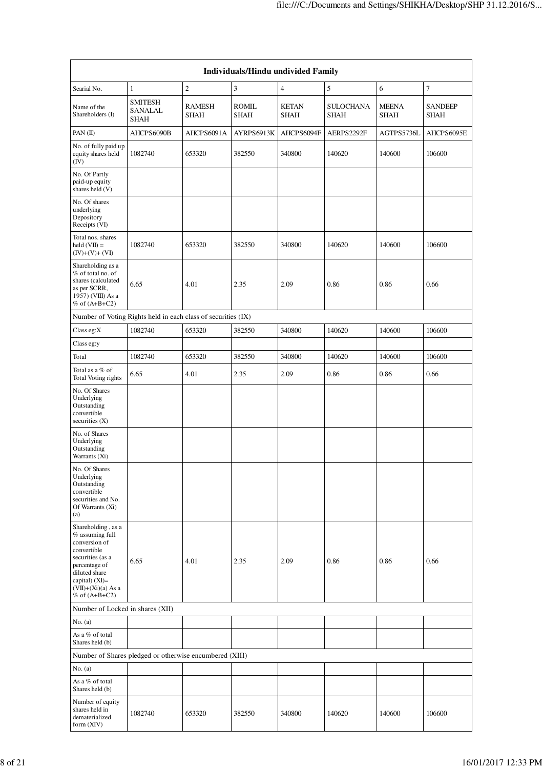| Individuals/Hindu undivided Family                                                                                                                                                           |                                                 |                       |                             |                      |                          |                      |                               |  |  |  |
|----------------------------------------------------------------------------------------------------------------------------------------------------------------------------------------------|-------------------------------------------------|-----------------------|-----------------------------|----------------------|--------------------------|----------------------|-------------------------------|--|--|--|
| Searial No.                                                                                                                                                                                  | $\mathbf{1}$                                    | $\overline{c}$        | 3                           | $\overline{4}$       | 5                        | 6                    | 7                             |  |  |  |
| Name of the<br>Shareholders (I)                                                                                                                                                              | <b>SMITESH</b><br><b>SANALAL</b><br><b>SHAH</b> | <b>RAMESH</b><br>SHAH | <b>ROMIL</b><br><b>SHAH</b> | <b>KETAN</b><br>SHAH | <b>SULOCHANA</b><br>SHAH | <b>MEENA</b><br>SHAH | <b>SANDEEP</b><br><b>SHAH</b> |  |  |  |
| PAN $(II)$                                                                                                                                                                                   | AHCPS6090B                                      | AHCPS6091A            | AYRPS6913K                  | AHCPS6094F           | AERPS2292F               | AGTPS5736L           | AHCPS6095E                    |  |  |  |
| No. of fully paid up<br>equity shares held<br>(IV)                                                                                                                                           | 1082740                                         | 653320                | 382550                      | 340800               | 140620                   | 140600               | 106600                        |  |  |  |
| No. Of Partly<br>paid-up equity<br>shares held (V)                                                                                                                                           |                                                 |                       |                             |                      |                          |                      |                               |  |  |  |
| No. Of shares<br>underlying<br>Depository<br>Receipts (VI)                                                                                                                                   |                                                 |                       |                             |                      |                          |                      |                               |  |  |  |
| Total nos. shares<br>$held (VII) =$<br>$(IV)+(V)+(VI)$                                                                                                                                       | 1082740                                         | 653320                | 382550                      | 340800               | 140620                   | 140600               | 106600                        |  |  |  |
| Shareholding as a<br>% of total no. of<br>shares (calculated<br>as per SCRR,<br>1957) (VIII) As a<br>$%$ of $(A+B+C2)$                                                                       | 6.65                                            | 4.01                  | 2.35                        | 2.09                 | 0.86                     | 0.86                 | 0.66                          |  |  |  |
| Number of Voting Rights held in each class of securities (IX)                                                                                                                                |                                                 |                       |                             |                      |                          |                      |                               |  |  |  |
| Class eg:X                                                                                                                                                                                   | 1082740                                         | 653320                | 382550                      | 340800               | 140620                   | 140600               | 106600                        |  |  |  |
| Class eg:y                                                                                                                                                                                   |                                                 |                       |                             |                      |                          |                      |                               |  |  |  |
| Total                                                                                                                                                                                        | 1082740                                         | 653320                | 382550                      | 340800               | 140620                   | 140600               | 106600                        |  |  |  |
| Total as a % of<br>Total Voting rights                                                                                                                                                       | 6.65                                            | 4.01                  | 2.35                        | 2.09                 | 0.86                     | 0.86                 | 0.66                          |  |  |  |
| No. Of Shares<br>Underlying<br>Outstanding<br>convertible<br>securities $(X)$                                                                                                                |                                                 |                       |                             |                      |                          |                      |                               |  |  |  |
| No. of Shares<br>Underlying<br>Outstanding<br>Warrants (Xi)                                                                                                                                  |                                                 |                       |                             |                      |                          |                      |                               |  |  |  |
| No. Of Shares<br>Underlying<br>Outstanding<br>convertible<br>securities and No.<br>Of Warrants (Xi)<br>(a)                                                                                   |                                                 |                       |                             |                      |                          |                      |                               |  |  |  |
| Shareholding, as a<br>$%$ assuming full<br>conversion of<br>convertible<br>securities (as a<br>percentage of<br>diluted share<br>capital) $(XI)=$<br>$(VII)+(Xi)(a)$ As a<br>% of $(A+B+C2)$ | 6.65                                            | 4.01                  | 2.35                        | 2.09                 | 0.86                     | 0.86                 | 0.66                          |  |  |  |
| Number of Locked in shares (XII)                                                                                                                                                             |                                                 |                       |                             |                      |                          |                      |                               |  |  |  |
| No. (a)                                                                                                                                                                                      |                                                 |                       |                             |                      |                          |                      |                               |  |  |  |
| As a % of total<br>Shares held (b)                                                                                                                                                           |                                                 |                       |                             |                      |                          |                      |                               |  |  |  |
| Number of Shares pledged or otherwise encumbered (XIII)                                                                                                                                      |                                                 |                       |                             |                      |                          |                      |                               |  |  |  |
| No. $(a)$                                                                                                                                                                                    |                                                 |                       |                             |                      |                          |                      |                               |  |  |  |
| As a % of total<br>Shares held (b)                                                                                                                                                           |                                                 |                       |                             |                      |                          |                      |                               |  |  |  |
| Number of equity<br>shares held in<br>dematerialized<br>form (XIV)                                                                                                                           | 1082740                                         | 653320                | 382550                      | 340800               | 140620                   | 140600               | 106600                        |  |  |  |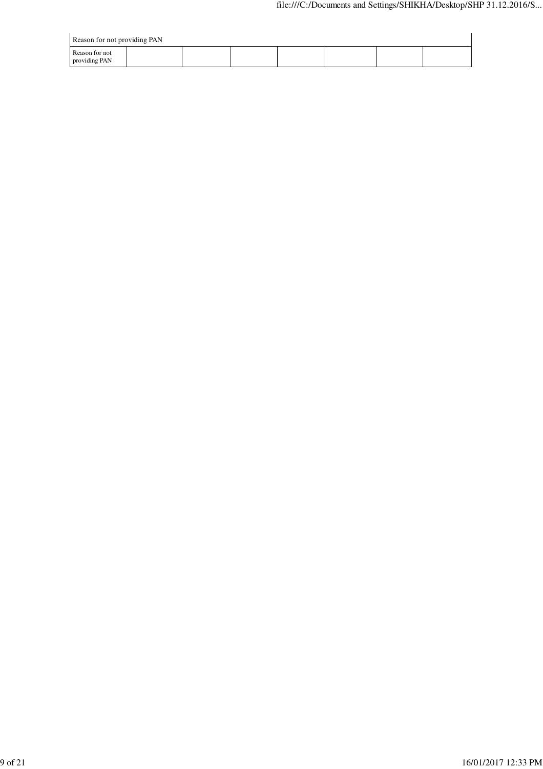| Reason for not providing PAN    |  |  |  |  |  |  |  |  |
|---------------------------------|--|--|--|--|--|--|--|--|
| Reason for not<br>providing PAN |  |  |  |  |  |  |  |  |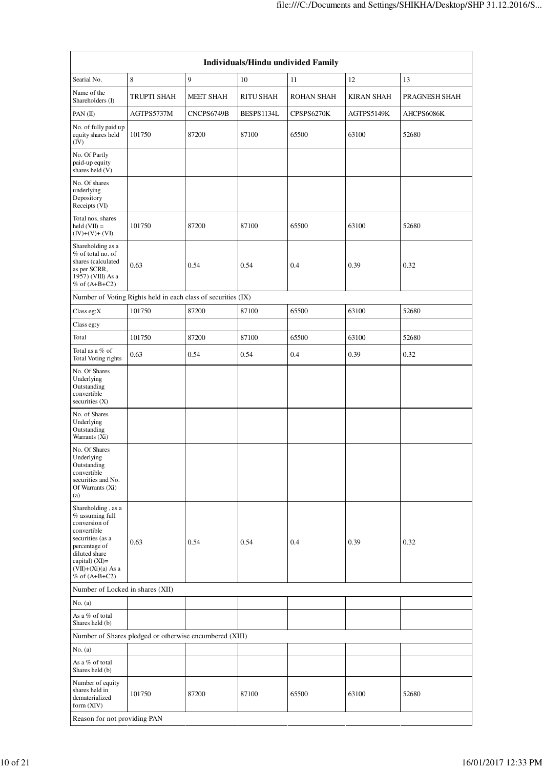| Individuals/Hindu undivided Family                                                                                                                                                         |                                                               |                  |                  |                   |                   |               |  |  |  |
|--------------------------------------------------------------------------------------------------------------------------------------------------------------------------------------------|---------------------------------------------------------------|------------------|------------------|-------------------|-------------------|---------------|--|--|--|
| Searial No.                                                                                                                                                                                | 8                                                             | 9                | 10               | 11                | 12                | 13            |  |  |  |
| Name of the<br>Shareholders (I)                                                                                                                                                            | <b>TRUPTI SHAH</b>                                            | <b>MEET SHAH</b> | <b>RITU SHAH</b> | <b>ROHAN SHAH</b> | <b>KIRAN SHAH</b> | PRAGNESH SHAH |  |  |  |
| PAN $(II)$                                                                                                                                                                                 | AGTPS5737M                                                    | CNCPS6749B       | BESPS1134L       | CPSPS6270K        | AGTPS5149K        | AHCPS6086K    |  |  |  |
| No. of fully paid up<br>equity shares held<br>(IV)                                                                                                                                         | 101750                                                        | 87200            | 87100            | 65500             | 63100             | 52680         |  |  |  |
| No. Of Partly<br>paid-up equity<br>shares held (V)                                                                                                                                         |                                                               |                  |                  |                   |                   |               |  |  |  |
| No. Of shares<br>underlying<br>Depository<br>Receipts (VI)                                                                                                                                 |                                                               |                  |                  |                   |                   |               |  |  |  |
| Total nos. shares<br>held $(VII) =$<br>$(IV)+(V)+(VI)$                                                                                                                                     | 101750                                                        | 87200            | 87100            | 65500             | 63100             | 52680         |  |  |  |
| Shareholding as a<br>% of total no. of<br>shares (calculated<br>as per SCRR,<br>1957) (VIII) As a<br>% of $(A+B+C2)$                                                                       | 0.63                                                          | 0.54             | 0.54             | 0.4               | 0.39              | 0.32          |  |  |  |
|                                                                                                                                                                                            | Number of Voting Rights held in each class of securities (IX) |                  |                  |                   |                   |               |  |  |  |
| Class eg: $X$                                                                                                                                                                              | 101750                                                        | 87200            | 87100            | 65500             | 63100             | 52680         |  |  |  |
| Class eg:y                                                                                                                                                                                 |                                                               |                  |                  |                   |                   |               |  |  |  |
| Total                                                                                                                                                                                      | 101750                                                        | 87200            | 87100            | 65500             | 63100             | 52680         |  |  |  |
| Total as a % of<br>Total Voting rights                                                                                                                                                     | 0.63                                                          | 0.54             | 0.54             | 0.4               | 0.39              | 0.32          |  |  |  |
| No. Of Shares<br>Underlying<br>Outstanding<br>convertible<br>securities (X)                                                                                                                |                                                               |                  |                  |                   |                   |               |  |  |  |
| No. of Shares<br>Underlying<br>Outstanding<br>Warrants (Xi)                                                                                                                                |                                                               |                  |                  |                   |                   |               |  |  |  |
| No. Of Shares<br>Underlying<br>Outstanding<br>convertible<br>securities and No.<br>Of Warrants (Xi)<br>(a)                                                                                 |                                                               |                  |                  |                   |                   |               |  |  |  |
| Shareholding, as a<br>% assuming full<br>conversion of<br>convertible<br>securities (as a<br>percentage of<br>diluted share<br>capital) $(XI)=$<br>$(VII)+(Xi)(a)$ As a<br>% of $(A+B+C2)$ | 0.63                                                          | 0.54             | 0.54             | 0.4               | 0.39              | 0.32          |  |  |  |
| Number of Locked in shares (XII)                                                                                                                                                           |                                                               |                  |                  |                   |                   |               |  |  |  |
| No. $(a)$                                                                                                                                                                                  |                                                               |                  |                  |                   |                   |               |  |  |  |
| As a % of total<br>Shares held (b)                                                                                                                                                         |                                                               |                  |                  |                   |                   |               |  |  |  |
|                                                                                                                                                                                            | Number of Shares pledged or otherwise encumbered (XIII)       |                  |                  |                   |                   |               |  |  |  |
| No. $(a)$                                                                                                                                                                                  |                                                               |                  |                  |                   |                   |               |  |  |  |
| As a % of total<br>Shares held (b)                                                                                                                                                         |                                                               |                  |                  |                   |                   |               |  |  |  |
| Number of equity<br>shares held in<br>dematerialized<br>form $(XIV)$                                                                                                                       | 101750                                                        | 87200            | 87100            | 65500             | 63100             | 52680         |  |  |  |
|                                                                                                                                                                                            | Reason for not providing PAN                                  |                  |                  |                   |                   |               |  |  |  |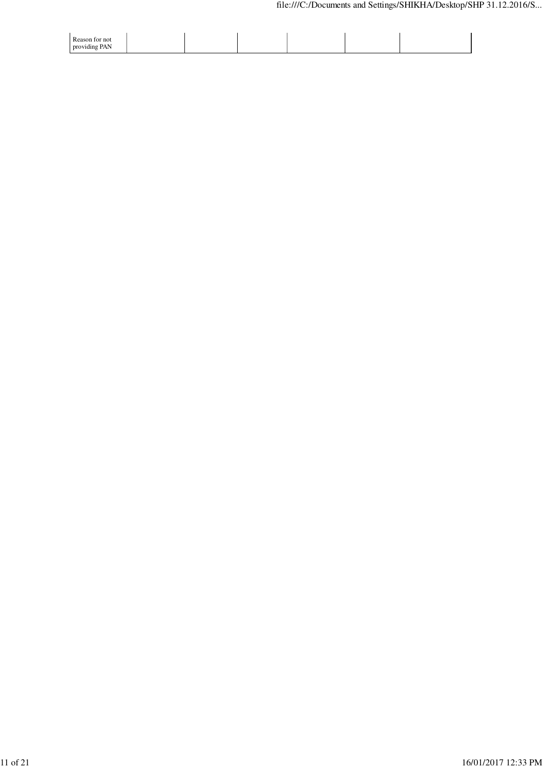| Reason for not |  |  |  |
|----------------|--|--|--|
| providing PAN  |  |  |  |
|                |  |  |  |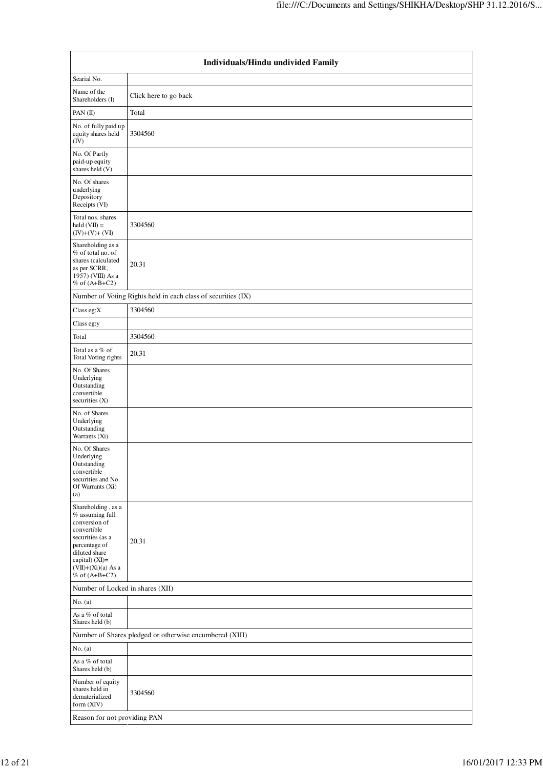| Individuals/Hindu undivided Family                                                                                                                                                           |                                                               |  |  |  |  |  |  |
|----------------------------------------------------------------------------------------------------------------------------------------------------------------------------------------------|---------------------------------------------------------------|--|--|--|--|--|--|
| Searial No.                                                                                                                                                                                  |                                                               |  |  |  |  |  |  |
| Name of the<br>Shareholders (I)                                                                                                                                                              | Click here to go back                                         |  |  |  |  |  |  |
| PAN $(II)$                                                                                                                                                                                   | Total                                                         |  |  |  |  |  |  |
| No. of fully paid up<br>equity shares held<br>(IV)                                                                                                                                           | 3304560                                                       |  |  |  |  |  |  |
| No. Of Partly<br>paid-up equity<br>shares held (V)                                                                                                                                           |                                                               |  |  |  |  |  |  |
| No. Of shares<br>underlying<br>Depository<br>Receipts (VI)                                                                                                                                   |                                                               |  |  |  |  |  |  |
| Total nos. shares<br>$\text{held}(\text{VII}) =$<br>$(IV)+(V)+(VI)$                                                                                                                          | 3304560                                                       |  |  |  |  |  |  |
| Shareholding as a<br>% of total no. of<br>shares (calculated<br>as per SCRR,<br>1957) (VIII) As a<br>$%$ of $(A+B+C2)$                                                                       | 20.31                                                         |  |  |  |  |  |  |
|                                                                                                                                                                                              | Number of Voting Rights held in each class of securities (IX) |  |  |  |  |  |  |
| Class eg:X                                                                                                                                                                                   | 3304560                                                       |  |  |  |  |  |  |
| Class eg:y                                                                                                                                                                                   |                                                               |  |  |  |  |  |  |
| Total                                                                                                                                                                                        | 3304560                                                       |  |  |  |  |  |  |
| Total as a % of<br>Total Voting rights                                                                                                                                                       | 20.31                                                         |  |  |  |  |  |  |
| No. Of Shares<br>Underlying<br>Outstanding<br>convertible<br>securities $(X)$                                                                                                                |                                                               |  |  |  |  |  |  |
| No. of Shares<br>Underlying<br>Outstanding<br>Warrants (Xi)                                                                                                                                  |                                                               |  |  |  |  |  |  |
| No. Of Shares<br>Underlying<br>Outstanding<br>convertible<br>securities and No.<br>Of Warrants (Xi)<br>(a)                                                                                   |                                                               |  |  |  |  |  |  |
| Shareholding, as a<br>% assuming full<br>conversion of<br>convertible<br>securities (as a<br>percentage of<br>diluted share<br>capital) $(XI)=$<br>$(VII)+(Xi)(a)$ As a<br>$%$ of $(A+B+C2)$ | 20.31                                                         |  |  |  |  |  |  |
| Number of Locked in shares (XII)                                                                                                                                                             |                                                               |  |  |  |  |  |  |
| No. $(a)$                                                                                                                                                                                    |                                                               |  |  |  |  |  |  |
| As a % of total<br>Shares held (b)                                                                                                                                                           |                                                               |  |  |  |  |  |  |
| Number of Shares pledged or otherwise encumbered (XIII)                                                                                                                                      |                                                               |  |  |  |  |  |  |
| No. (a)<br>As a % of total                                                                                                                                                                   |                                                               |  |  |  |  |  |  |
| Shares held (b)<br>Number of equity<br>shares held in<br>dematerialized<br>form (XIV)<br>Reason for not providing PAN                                                                        | 3304560                                                       |  |  |  |  |  |  |
|                                                                                                                                                                                              |                                                               |  |  |  |  |  |  |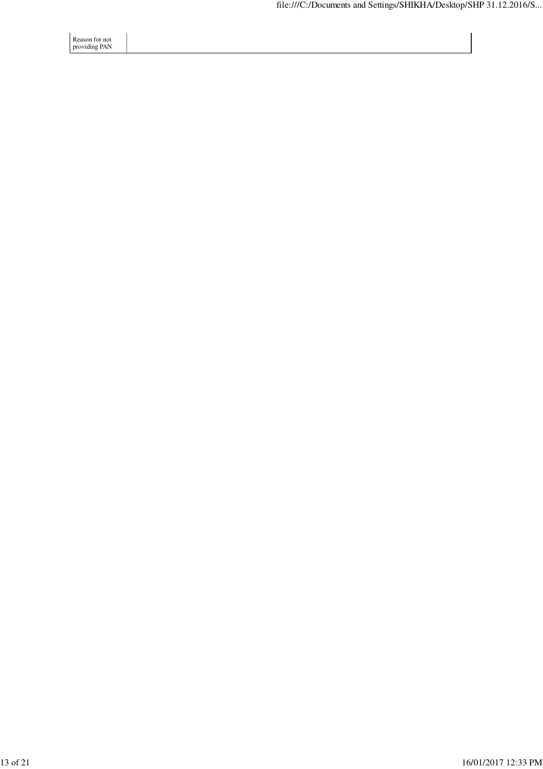Reason for not providing PAN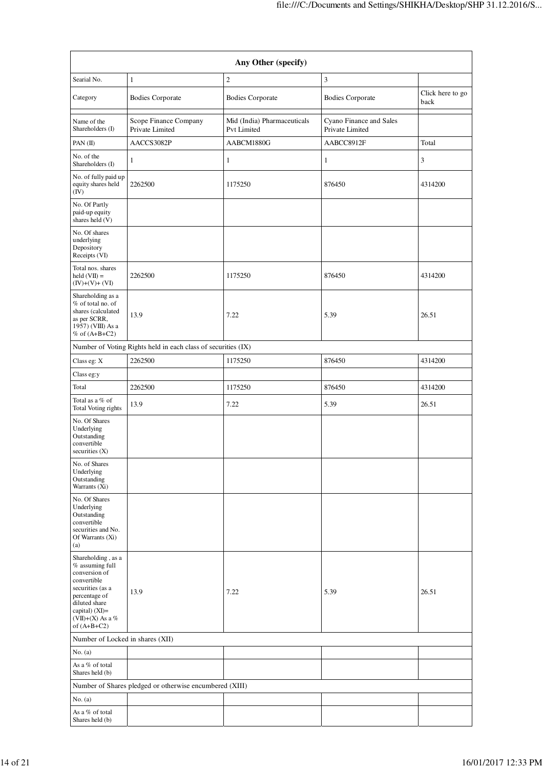| Any Other (specify)                                                                                                                                                                  |                                                               |                                            |                                                     |         |  |  |
|--------------------------------------------------------------------------------------------------------------------------------------------------------------------------------------|---------------------------------------------------------------|--------------------------------------------|-----------------------------------------------------|---------|--|--|
| Searial No.                                                                                                                                                                          | $\mathbf{1}$                                                  | $\sqrt{2}$                                 | 3                                                   |         |  |  |
| Category                                                                                                                                                                             | <b>Bodies Corporate</b>                                       | <b>Bodies Corporate</b>                    | Click here to go<br><b>Bodies Corporate</b><br>back |         |  |  |
| Name of the<br>Shareholders (I)                                                                                                                                                      | Scope Finance Company<br>Private Limited                      | Mid (India) Pharmaceuticals<br>Pvt Limited | Cyano Finance and Sales<br>Private Limited          |         |  |  |
| PAN $(II)$                                                                                                                                                                           | AACCS3082P                                                    | AABCM1880G                                 | AABCC8912F                                          | Total   |  |  |
| No. of the<br>Shareholders (I)                                                                                                                                                       | $\mathbf{1}$                                                  | $\mathbf{1}$                               | $\mathbf{1}$                                        | 3       |  |  |
| No. of fully paid up<br>equity shares held<br>(IV)                                                                                                                                   | 2262500                                                       | 1175250                                    | 876450                                              | 4314200 |  |  |
| No. Of Partly<br>paid-up equity<br>shares held (V)                                                                                                                                   |                                                               |                                            |                                                     |         |  |  |
| No. Of shares<br>underlying<br>Depository<br>Receipts (VI)                                                                                                                           |                                                               |                                            |                                                     |         |  |  |
| Total nos. shares<br>held $(VII) =$<br>$(IV)+(V)+(VI)$                                                                                                                               | 2262500                                                       | 1175250                                    | 876450                                              | 4314200 |  |  |
| Shareholding as a<br>% of total no. of<br>shares (calculated<br>as per SCRR,<br>1957) (VIII) As a<br>$%$ of $(A+B+C2)$                                                               | 13.9                                                          | 7.22                                       | 5.39                                                | 26.51   |  |  |
|                                                                                                                                                                                      | Number of Voting Rights held in each class of securities (IX) |                                            |                                                     |         |  |  |
| Class eg: X                                                                                                                                                                          | 2262500                                                       | 1175250                                    | 876450                                              | 4314200 |  |  |
| Class eg:y                                                                                                                                                                           |                                                               |                                            |                                                     |         |  |  |
| Total                                                                                                                                                                                | 2262500                                                       | 1175250                                    | 876450                                              | 4314200 |  |  |
| Total as a % of<br>Total Voting rights                                                                                                                                               | 13.9                                                          | 7.22                                       | 5.39                                                | 26.51   |  |  |
| No. Of Shares<br>Underlying<br>Outstanding<br>convertible<br>securities $(X)$                                                                                                        |                                                               |                                            |                                                     |         |  |  |
| No. of Shares<br>Underlying<br>Outstanding<br>Warrants (Xi)                                                                                                                          |                                                               |                                            |                                                     |         |  |  |
| No. Of Shares<br>Underlying<br>Outstanding<br>convertible<br>securities and No.<br>Of Warrants $(X_i)$<br>(a)                                                                        |                                                               |                                            |                                                     |         |  |  |
| Shareholding, as a<br>% assuming full<br>conversion of<br>convertible<br>securities (as a<br>percentage of<br>diluted share<br>capital) $(XI)=$<br>(VII)+(X) As a %<br>of $(A+B+C2)$ | 13.9                                                          | 7.22                                       | 5.39                                                | 26.51   |  |  |
| Number of Locked in shares (XII)                                                                                                                                                     |                                                               |                                            |                                                     |         |  |  |
| No. (a)                                                                                                                                                                              |                                                               |                                            |                                                     |         |  |  |
| As a % of total<br>Shares held (b)                                                                                                                                                   |                                                               |                                            |                                                     |         |  |  |
|                                                                                                                                                                                      | Number of Shares pledged or otherwise encumbered (XIII)       |                                            |                                                     |         |  |  |
| No. (a)                                                                                                                                                                              |                                                               |                                            |                                                     |         |  |  |
| As a % of total                                                                                                                                                                      |                                                               |                                            |                                                     |         |  |  |
| Shares held (b)                                                                                                                                                                      |                                                               |                                            |                                                     |         |  |  |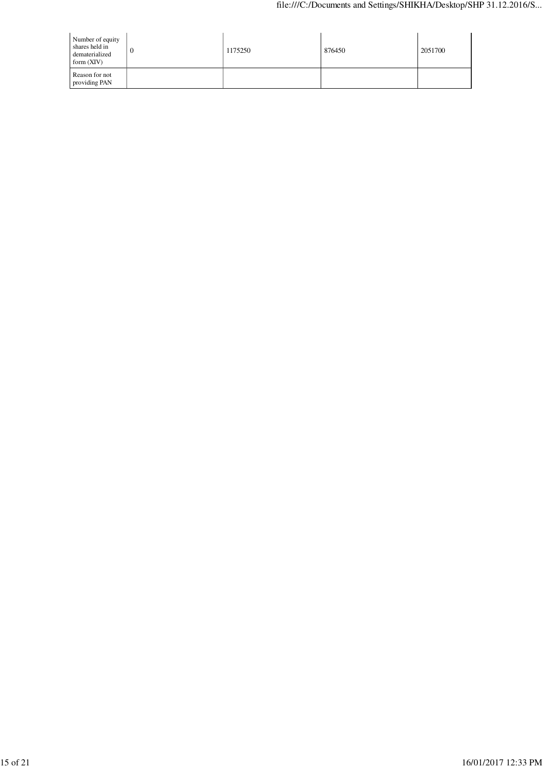| Number of equity<br>shares held in<br>dematerialized<br>form $(XIV)$ | v | 1175250 | 876450 | 2051700 |
|----------------------------------------------------------------------|---|---------|--------|---------|
| Reason for not<br>providing PAN                                      |   |         |        |         |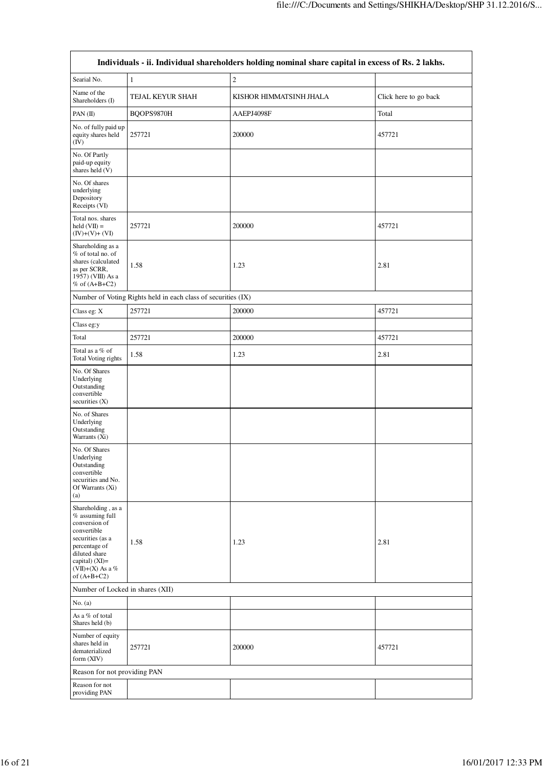| Individuals - ii. Individual shareholders holding nominal share capital in excess of Rs. 2 lakhs.                                                                                      |                                                               |                         |                       |  |  |
|----------------------------------------------------------------------------------------------------------------------------------------------------------------------------------------|---------------------------------------------------------------|-------------------------|-----------------------|--|--|
| Searial No.                                                                                                                                                                            | $\mathbf{1}$                                                  | $\sqrt{2}$              |                       |  |  |
| Name of the<br>Shareholders (I)                                                                                                                                                        | TEJAL KEYUR SHAH                                              | KISHOR HIMMATSINH JHALA | Click here to go back |  |  |
| PAN(II)                                                                                                                                                                                | BQOPS9870H                                                    | AAEPJ4098F              | Total                 |  |  |
| No. of fully paid up<br>equity shares held<br>(IV)                                                                                                                                     | 257721                                                        | 200000                  | 457721                |  |  |
| No. Of Partly<br>paid-up equity<br>shares held (V)                                                                                                                                     |                                                               |                         |                       |  |  |
| No. Of shares<br>underlying<br>Depository<br>Receipts (VI)                                                                                                                             |                                                               |                         |                       |  |  |
| Total nos. shares<br>held $(VII) =$<br>$(IV)+(V)+(VI)$                                                                                                                                 | 257721                                                        | 200000                  | 457721                |  |  |
| Shareholding as a<br>% of total no. of<br>shares (calculated<br>as per SCRR,<br>1957) (VIII) As a<br>$%$ of $(A+B+C2)$                                                                 | 1.58                                                          | 1.23                    | 2.81                  |  |  |
|                                                                                                                                                                                        | Number of Voting Rights held in each class of securities (IX) |                         |                       |  |  |
| Class eg: X                                                                                                                                                                            | 257721                                                        | 200000                  | 457721                |  |  |
| Class eg:y                                                                                                                                                                             |                                                               |                         |                       |  |  |
| Total                                                                                                                                                                                  | 257721                                                        | 200000                  | 457721                |  |  |
| Total as a % of<br>Total Voting rights                                                                                                                                                 | 1.58                                                          | 1.23                    | 2.81                  |  |  |
| No. Of Shares<br>Underlying<br>Outstanding<br>convertible<br>securities $(X)$                                                                                                          |                                                               |                         |                       |  |  |
| No. of Shares<br>Underlying<br>Outstanding<br>Warrants (Xi)                                                                                                                            |                                                               |                         |                       |  |  |
| No. Of Shares<br>Underlying<br>Outstanding<br>convertible<br>securities and No.<br>Of Warrants (Xi)<br>(a)                                                                             |                                                               |                         |                       |  |  |
| Shareholding, as a<br>$%$ assuming full<br>conversion of<br>convertible<br>securities (as a<br>percentage of<br>diluted share<br>capital) $(XI)=$<br>(VII)+(X) As a %<br>of $(A+B+C2)$ | 1.58                                                          | 1.23                    | 2.81                  |  |  |
| Number of Locked in shares (XII)                                                                                                                                                       |                                                               |                         |                       |  |  |
| No. (a)                                                                                                                                                                                |                                                               |                         |                       |  |  |
| As a % of total<br>Shares held (b)                                                                                                                                                     |                                                               |                         |                       |  |  |
| Number of equity<br>shares held in<br>dematerialized<br>form $(XIV)$                                                                                                                   | 257721                                                        | 200000                  | 457721                |  |  |
| Reason for not providing PAN                                                                                                                                                           |                                                               |                         |                       |  |  |
| Reason for not<br>providing PAN                                                                                                                                                        |                                                               |                         |                       |  |  |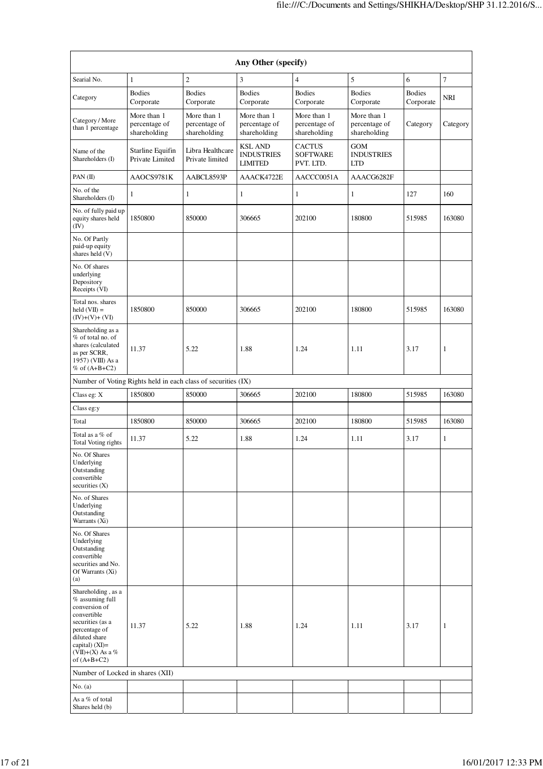| Any Other (specify)                                                                                                                                                                      |                                              |                                              |                                                       |                                               |                                               |                            |                  |
|------------------------------------------------------------------------------------------------------------------------------------------------------------------------------------------|----------------------------------------------|----------------------------------------------|-------------------------------------------------------|-----------------------------------------------|-----------------------------------------------|----------------------------|------------------|
| Searial No.                                                                                                                                                                              | $\mathbf{1}$                                 | $\overline{c}$                               | 3                                                     | $\overline{4}$                                | 5                                             | 6                          | $\boldsymbol{7}$ |
| Category                                                                                                                                                                                 | <b>Bodies</b><br>Corporate                   | <b>Bodies</b><br>Corporate                   | <b>Bodies</b><br>Corporate                            | <b>Bodies</b><br>Corporate                    | <b>Bodies</b><br>Corporate                    | <b>Bodies</b><br>Corporate | <b>NRI</b>       |
| Category / More<br>than 1 percentage                                                                                                                                                     | More than 1<br>percentage of<br>shareholding | More than 1<br>percentage of<br>shareholding | More than 1<br>percentage of<br>shareholding          | More than 1<br>percentage of<br>shareholding  | More than 1<br>percentage of<br>shareholding  | Category                   | Category         |
| Name of the<br>Shareholders (I)                                                                                                                                                          | Starline Equifin<br>Private Limited          | Libra Healthcare<br>Private limited          | <b>KSL AND</b><br><b>INDUSTRIES</b><br><b>LIMITED</b> | <b>CACTUS</b><br><b>SOFTWARE</b><br>PVT. LTD. | <b>GOM</b><br><b>INDUSTRIES</b><br><b>LTD</b> |                            |                  |
| PAN(II)                                                                                                                                                                                  | AAOCS9781K                                   | AABCL8593P                                   | AAACK4722E                                            | AACCC0051A                                    | AAACG6282F                                    |                            |                  |
| No. of the<br>Shareholders (I)                                                                                                                                                           | $\mathbf{1}$                                 | 1                                            | $\mathbf{1}$                                          | $\mathbf{1}$                                  | 1                                             | 127                        | 160              |
| No. of fully paid up<br>equity shares held<br>(IV)                                                                                                                                       | 1850800                                      | 850000                                       | 306665                                                | 202100                                        | 180800                                        | 515985                     | 163080           |
| No. Of Partly<br>paid-up equity<br>shares held (V)                                                                                                                                       |                                              |                                              |                                                       |                                               |                                               |                            |                  |
| No. Of shares<br>underlying<br>Depository<br>Receipts (VI)                                                                                                                               |                                              |                                              |                                                       |                                               |                                               |                            |                  |
| Total nos. shares<br>$\text{held}(\text{VII}) =$<br>$(IV)+(V)+(VI)$                                                                                                                      | 1850800                                      | 850000                                       | 306665                                                | 202100                                        | 180800                                        | 515985                     | 163080           |
| Shareholding as a<br>% of total no. of<br>shares (calculated<br>as per SCRR,<br>1957) (VIII) As a<br>% of $(A+B+C2)$                                                                     | 11.37                                        | 5.22                                         | 1.88                                                  | 1.24                                          | 1.11                                          | 3.17                       | 1                |
| Number of Voting Rights held in each class of securities (IX)                                                                                                                            |                                              |                                              |                                                       |                                               |                                               |                            |                  |
| Class eg: X                                                                                                                                                                              | 1850800                                      | 850000                                       | 306665                                                | 202100                                        | 180800                                        | 515985                     | 163080           |
| Class eg:y                                                                                                                                                                               |                                              |                                              |                                                       |                                               |                                               |                            |                  |
| Total                                                                                                                                                                                    | 1850800                                      | 850000                                       | 306665                                                | 202100                                        | 180800                                        | 515985                     | 163080           |
| Total as a % of<br>Total Voting rights                                                                                                                                                   | 11.37                                        | 5.22                                         | 1.88                                                  | 1.24                                          | 1.11                                          | 3.17                       | 1                |
| No. Of Shares<br>Underlying<br>Outstanding<br>convertible<br>securities $(X)$                                                                                                            |                                              |                                              |                                                       |                                               |                                               |                            |                  |
| No. of Shares<br>Underlying<br>Outstanding<br>Warrants (Xi)                                                                                                                              |                                              |                                              |                                                       |                                               |                                               |                            |                  |
| No. Of Shares<br>Underlying<br>Outstanding<br>convertible<br>securities and No.<br>Of Warrants (Xi)<br>(a)                                                                               |                                              |                                              |                                                       |                                               |                                               |                            |                  |
| Shareholding, as a<br>$%$ assuming full<br>conversion of<br>convertible<br>securities (as a<br>percentage of<br>diluted share<br>capital) $(XI)=$<br>$(VII)+(X)$ As a %<br>of $(A+B+C2)$ | 11.37                                        | 5.22                                         | 1.88                                                  | 1.24                                          | 1.11                                          | 3.17                       | $\mathbf{1}$     |
| Number of Locked in shares (XII)                                                                                                                                                         |                                              |                                              |                                                       |                                               |                                               |                            |                  |
| No. (a)                                                                                                                                                                                  |                                              |                                              |                                                       |                                               |                                               |                            |                  |
| As a % of total<br>Shares held (b)                                                                                                                                                       |                                              |                                              |                                                       |                                               |                                               |                            |                  |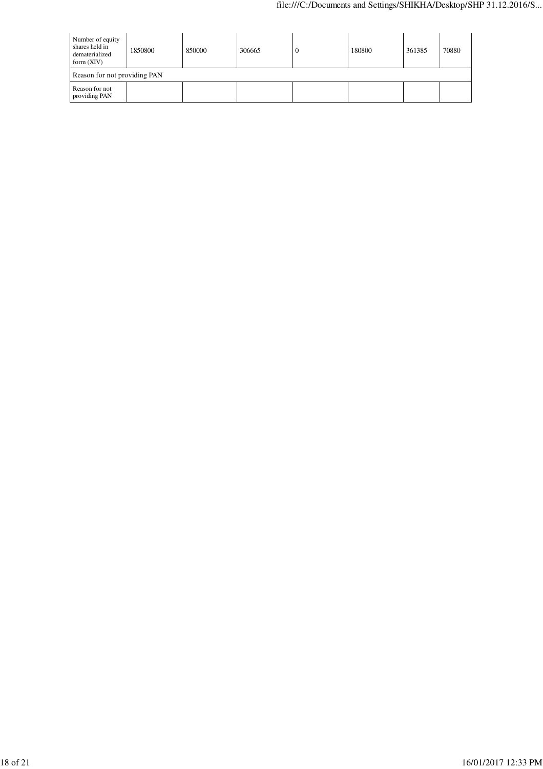| Number of equity<br>shares held in<br>dematerialized<br>form $(XIV)$ | 1850800 | 850000 | 306665 | $\theta$ | 180800 | 361385 | 70880 |
|----------------------------------------------------------------------|---------|--------|--------|----------|--------|--------|-------|
| Reason for not providing PAN                                         |         |        |        |          |        |        |       |
| Reason for not<br>providing PAN                                      |         |        |        |          |        |        |       |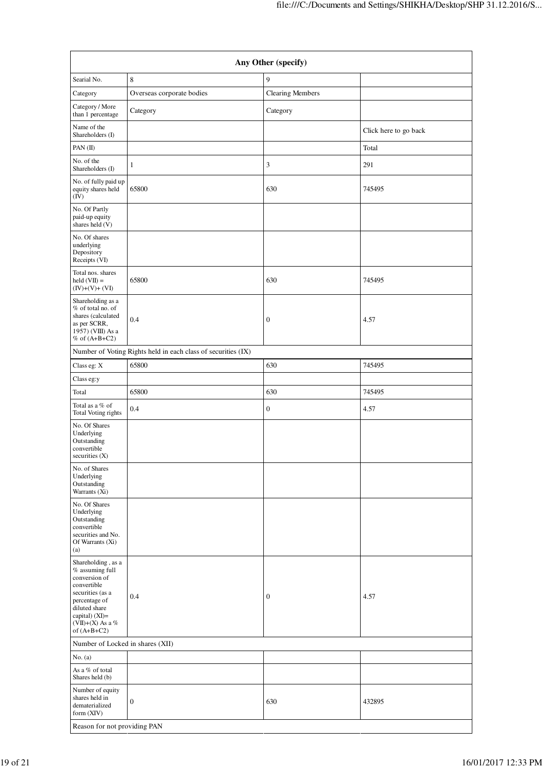| Any Other (specify)                                                                                                                                                                |                                                               |                         |                       |  |  |
|------------------------------------------------------------------------------------------------------------------------------------------------------------------------------------|---------------------------------------------------------------|-------------------------|-----------------------|--|--|
| Searial No.                                                                                                                                                                        | $\,$ 8 $\,$                                                   | 9                       |                       |  |  |
| Category                                                                                                                                                                           | Overseas corporate bodies                                     | <b>Clearing Members</b> |                       |  |  |
| Category / More<br>than 1 percentage                                                                                                                                               | Category                                                      | Category                |                       |  |  |
| Name of the<br>Shareholders (I)                                                                                                                                                    |                                                               |                         | Click here to go back |  |  |
| PAN(II)                                                                                                                                                                            |                                                               |                         | Total                 |  |  |
| No. of the<br>Shareholders (I)                                                                                                                                                     | 1                                                             | 3                       | 291                   |  |  |
| No. of fully paid up<br>equity shares held<br>(IV)                                                                                                                                 | 65800                                                         | 630                     | 745495                |  |  |
| No. Of Partly<br>paid-up equity<br>shares held (V)                                                                                                                                 |                                                               |                         |                       |  |  |
| No. Of shares<br>underlying<br>Depository<br>Receipts (VI)                                                                                                                         |                                                               |                         |                       |  |  |
| Total nos. shares<br>$\text{held}(\text{VII}) =$<br>$(IV)+(V)+(VI)$                                                                                                                | 65800                                                         | 630                     | 745495                |  |  |
| Shareholding as a<br>% of total no. of<br>shares (calculated<br>as per SCRR,<br>1957) (VIII) As a<br>$%$ of $(A+B+C2)$                                                             | 0.4                                                           | $\boldsymbol{0}$        | 4.57                  |  |  |
|                                                                                                                                                                                    | Number of Voting Rights held in each class of securities (IX) |                         |                       |  |  |
| Class eg: X                                                                                                                                                                        | 65800                                                         | 630                     | 745495                |  |  |
| Class eg:y                                                                                                                                                                         |                                                               |                         |                       |  |  |
| Total                                                                                                                                                                              | 65800                                                         | 630                     | 745495                |  |  |
| Total as a % of<br>Total Voting rights                                                                                                                                             | 0.4                                                           | $\boldsymbol{0}$        | 4.57                  |  |  |
| No. Of Shares<br>Underlying<br>Outstanding<br>convertible<br>securities (X)                                                                                                        |                                                               |                         |                       |  |  |
| No. of Shares<br>Underlying<br>Outstanding<br>Warrants (Xi)                                                                                                                        |                                                               |                         |                       |  |  |
| No. Of Shares<br>Underlying<br>Outstanding<br>convertible<br>securities and No.<br>Of Warrants (Xi)<br>(a)                                                                         |                                                               |                         |                       |  |  |
| Shareholding, as a<br>% assuming full<br>conversion of<br>convertible<br>securities (as a<br>percentage of<br>diluted share<br>capital) (XI)=<br>(VII)+(X) As a %<br>of $(A+B+C2)$ | 0.4                                                           | $\boldsymbol{0}$        | 4.57                  |  |  |
| Number of Locked in shares (XII)                                                                                                                                                   |                                                               |                         |                       |  |  |
| No. $(a)$                                                                                                                                                                          |                                                               |                         |                       |  |  |
| As a % of total<br>Shares held (b)                                                                                                                                                 |                                                               |                         |                       |  |  |
| Number of equity<br>shares held in<br>dematerialized<br>form $(XIV)$                                                                                                               | $\boldsymbol{0}$                                              | 630                     | 432895                |  |  |
| Reason for not providing PAN                                                                                                                                                       |                                                               |                         |                       |  |  |